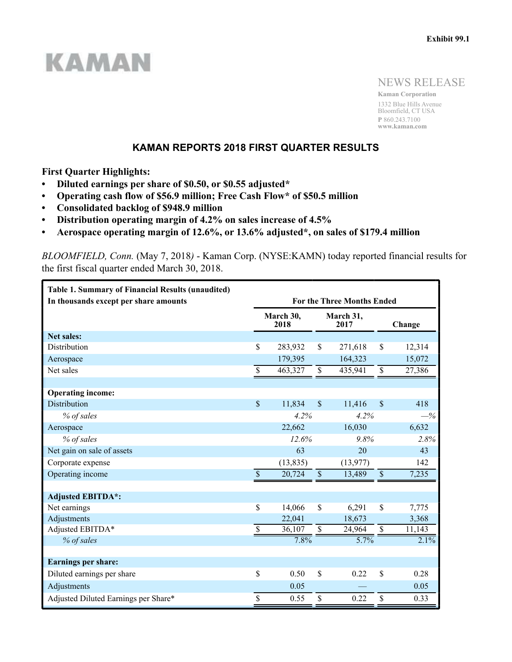

NEWS RELEASE

**Kaman Corporation** 1332 Blue Hills Avenue Bloomfield, CT USA **P** 860.243.7100 **www.kaman.com**

## **KAMAN REPORTS 2018 FIRST QUARTER RESULTS**

**First Quarter Highlights:**

- **Diluted earnings per share of \$0.50, or \$0.55 adjusted\***
- **Operating cash flow of \$56.9 million; Free Cash Flow\* of \$50.5 million**
- **Consolidated backlog of \$948.9 million**
- **Distribution operating margin of 4.2% on sales increase of 4.5%**
- **Aerospace operating margin of 12.6%, or 13.6% adjusted\*, on sales of \$179.4 million**

*BLOOMFIELD, Conn.* (May 7, 2018*)* - Kaman Corp. (NYSE:KAMN) today reported financial results for the first fiscal quarter ended March 30, 2018.

| <b>Table 1. Summary of Financial Results (unaudited)</b><br>In thousands except per share amounts |                           |                   |                           | <b>For the Three Months Ended</b> |                         |         |
|---------------------------------------------------------------------------------------------------|---------------------------|-------------------|---------------------------|-----------------------------------|-------------------------|---------|
|                                                                                                   |                           | March 30,<br>2018 | March 31,<br>2017         |                                   |                         | Change  |
| Net sales:                                                                                        |                           |                   |                           |                                   |                         |         |
| Distribution                                                                                      | \$                        | 283,932           | \$                        | 271,618                           | \$                      | 12,314  |
| Aerospace                                                                                         |                           | 179,395           |                           | 164,323                           |                         | 15,072  |
| Net sales                                                                                         | \$                        | 463,327           | \$                        | 435,941                           | $\overline{\mathbb{S}}$ | 27,386  |
|                                                                                                   |                           |                   |                           |                                   |                         |         |
| <b>Operating income:</b>                                                                          |                           |                   |                           |                                   |                         |         |
| <b>Distribution</b>                                                                               | $\boldsymbol{\mathsf{S}}$ | 11,834            | $\mathcal{S}$             | 11,416                            | $\mathcal{S}$           | 418     |
| % of sales                                                                                        |                           | 4.2%              |                           | 4.2%                              |                         | $-\%$   |
| Aerospace                                                                                         |                           | 22,662            |                           | 16,030                            |                         | 6,632   |
| % of sales                                                                                        |                           | 12.6%             |                           | 9.8%                              |                         | 2.8%    |
| Net gain on sale of assets                                                                        |                           | 63                |                           | 20                                |                         | 43      |
| Corporate expense                                                                                 |                           | (13, 835)         |                           | (13, 977)                         |                         | 142     |
| Operating income                                                                                  | $\mathcal{S}$             | 20,724            | $\mathbb S$               | 13,489                            | $\mathbb S$             | 7,235   |
|                                                                                                   |                           |                   |                           |                                   |                         |         |
| <b>Adjusted EBITDA*:</b>                                                                          |                           |                   |                           |                                   |                         |         |
| Net earnings                                                                                      | \$                        | 14,066            | \$                        | 6,291                             | $\mathcal{S}$           | 7,775   |
| Adjustments                                                                                       |                           | 22,041            |                           | 18,673                            |                         | 3,368   |
| Adjusted EBITDA*                                                                                  | $\mathbb S$               | 36,107            | $\boldsymbol{\mathsf{S}}$ | 24,964                            | $\$$                    | 11,143  |
| % of sales                                                                                        |                           | 7.8%              |                           | 5.7%                              |                         | $2.1\%$ |
|                                                                                                   |                           |                   |                           |                                   |                         |         |
| <b>Earnings per share:</b>                                                                        |                           |                   |                           |                                   |                         |         |
| Diluted earnings per share                                                                        | \$                        | 0.50              | \$                        | 0.22                              | \$                      | 0.28    |
| Adjustments                                                                                       |                           | 0.05              |                           |                                   |                         | 0.05    |
| Adjusted Diluted Earnings per Share*                                                              | \$                        | 0.55              | \$                        | 0.22                              | \$                      | 0.33    |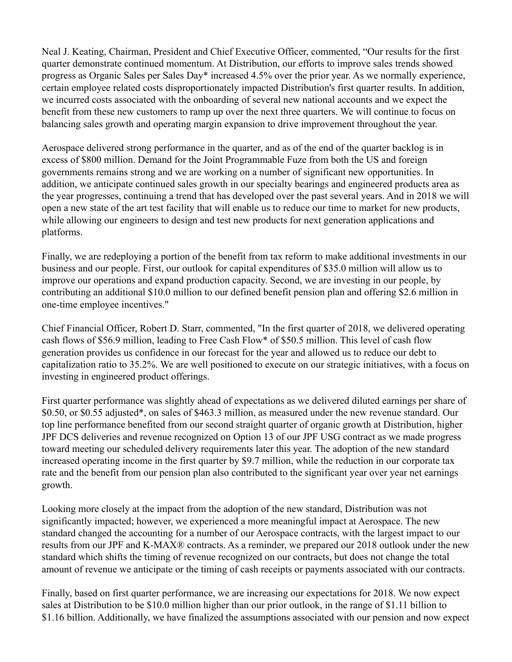Neal J. Keating, Chairman, President and Chief Executive Officer, commented, "Our results for the first quarter demonstrate continued momentum. At Distribution, our efforts to improve sales trends showed progress as Organic Sales per Sales Day\* increased 4.5% over the prior year. As we normally experience, certain employee related costs disproportionately impacted Distribution's first quarter results. In addition, we incurred costs associated with the onboarding of several new national accounts and we expect the benefit from these new customers to ramp up over the next three quarters. We will continue to focus on balancing sales growth and operating margin expansion to drive improvement throughout the year.

Aerospace delivered strong performance in the quarter, and as of the end of the quarter backlog is in excess of \$800 million. Demand for the Joint Programmable Fuze from both the US and foreign governments remains strong and we are working on a number of significant new opportunities. In addition, we anticipate continued sales growth in our specialty bearings and engineered products area as the year progresses, continuing a trend that has developed over the past several years. And in 2018 we will open a new state of the art test facility that will enable us to reduce our time to market for new products, while allowing our engineers to design and test new products for next generation applications and platforms.

Finally, we are redeploying a portion of the benefit from tax reform to make additional investments in our business and our people. First, our outlook for capital expenditures of \$35.0 million will allow us to improve our operations and expand production capacity. Second, we are investing in our people, by contributing an additional \$10.0 million to our defined benefit pension plan and offering \$2.6 million in one-time employee incentives."

Chief Financial Officer, Robert D. Starr, commented, "In the first quarter of 2018, we delivered operating cash flows of \$56.9 million, leading to Free Cash Flow\* of \$50.5 million. This level of cash flow generation provides us confidence in our forecast for the year and allowed us to reduce our debt to capitalization ratio to 35.2%. We are well positioned to execute on our strategic initiatives, with a focus on investing in engineered product offerings.

First quarter performance was slightly ahead of expectations as we delivered diluted earnings per share of \$0.50, or \$0.55 adjusted\*, on sales of \$463.3 million, as measured under the new revenue standard. Our top line performance benefited from our second straight quarter of organic growth at Distribution, higher JPF DCS deliveries and revenue recognized on Option 13 of our JPF USG contract as we made progress toward meeting our scheduled delivery requirements later this year. The adoption of the new standard increased operating income in the first quarter by \$9.7 million, while the reduction in our corporate tax rate and the benefit from our pension plan also contributed to the significant year over year net earnings growth.

Looking more closely at the impact from the adoption of the new standard, Distribution was not significantly impacted; however, we experienced a more meaningful impact at Aerospace. The new standard changed the accounting for a number of our Aerospace contracts, with the largest impact to our results from our JPF and K-MAX® contracts. As a reminder, we prepared our 2018 outlook under the new standard which shifts the timing of revenue recognized on our contracts, but does not change the total amount of revenue we anticipate or the timing of cash receipts or payments associated with our contracts.

Finally, based on first quarter performance, we are increasing our expectations for 2018. We now expect sales at Distribution to be \$10.0 million higher than our prior outlook, in the range of \$1.11 billion to \$1.16 billion. Additionally, we have finalized the assumptions associated with our pension and now expect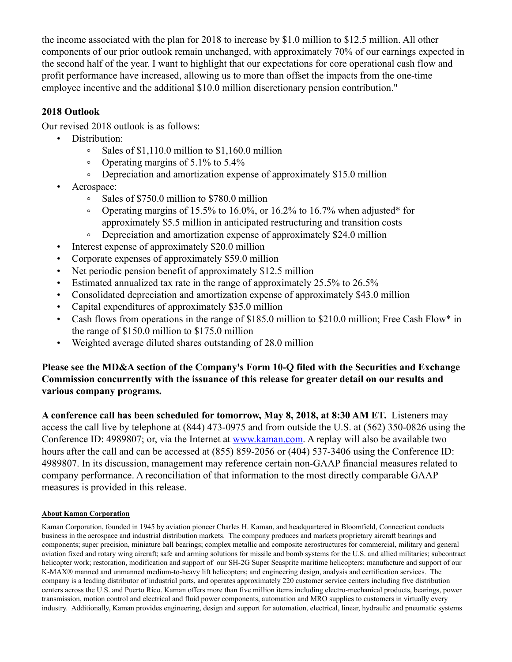the income associated with the plan for 2018 to increase by \$1.0 million to \$12.5 million. All other components of our prior outlook remain unchanged, with approximately 70% of our earnings expected in the second half of the year. I want to highlight that our expectations for core operational cash flow and profit performance have increased, allowing us to more than offset the impacts from the one-time employee incentive and the additional \$10.0 million discretionary pension contribution."

# **2018 Outlook**

Our revised 2018 outlook is as follows:

- Distribution:
	- Sales of \$1,110.0 million to \$1,160.0 million  $\circ$
	- Operating margins of 5.1% to 5.4%  $\circ$
	- Depreciation and amortization expense of approximately \$15.0 million  $\circ$
- Aerospace:
	- $\degree$  Sales of \$750.0 million to \$780.0 million
	- Operating margins of 15.5% to 16.0%, or 16.2% to 16.7% when adjusted\* for approximately \$5.5 million in anticipated restructuring and transition costs
	- $\circ$ Depreciation and amortization expense of approximately \$24.0 million
- Interest expense of approximately \$20.0 million
- Corporate expenses of approximately \$59.0 million
- Net periodic pension benefit of approximately \$12.5 million
- Estimated annualized tax rate in the range of approximately 25.5% to 26.5%
- Consolidated depreciation and amortization expense of approximately \$43.0 million
- Capital expenditures of approximately \$35.0 million
- Cash flows from operations in the range of \$185.0 million to \$210.0 million; Free Cash Flow\* in the range of \$150.0 million to \$175.0 million
- Weighted average diluted shares outstanding of 28.0 million

## **Please see the MD&A section of the Company's Form 10-Q filed with the Securities and Exchange Commission concurrently with the issuance of this release for greater detail on our results and various company programs.**

**A conference call has been scheduled for tomorrow, May 8, 2018, at 8:30 AM ET.** Listeners may access the call live by telephone at (844) 473-0975 and from outside the U.S. at (562) 350-0826 using the Conference ID: 4989807; or, via the Internet at www.kaman.com. A replay will also be available two hours after the call and can be accessed at (855) 859-2056 or (404) 537-3406 using the Conference ID: 4989807. In its discussion, management may reference certain non-GAAP financial measures related to company performance. A reconciliation of that information to the most directly comparable GAAP measures is provided in this release.

## **About Kaman Corporation**

Kaman Corporation, founded in 1945 by aviation pioneer Charles H. Kaman, and headquartered in Bloomfield, Connecticut conducts business in the aerospace and industrial distribution markets. The company produces and markets proprietary aircraft bearings and components; super precision, miniature ball bearings; complex metallic and composite aerostructures for commercial, military and general aviation fixed and rotary wing aircraft; safe and arming solutions for missile and bomb systems for the U.S. and allied militaries; subcontract helicopter work; restoration, modification and support of our SH-2G Super Seasprite maritime helicopters; manufacture and support of our K-MAX® manned and unmanned medium-to-heavy lift helicopters; and engineering design, analysis and certification services. The company is a leading distributor of industrial parts, and operates approximately 220 customer service centers including five distribution centers across the U.S. and Puerto Rico. Kaman offers more than five million items including electro-mechanical products, bearings, power transmission, motion control and electrical and fluid power components, automation and MRO supplies to customers in virtually every industry. Additionally, Kaman provides engineering, design and support for automation, electrical, linear, hydraulic and pneumatic systems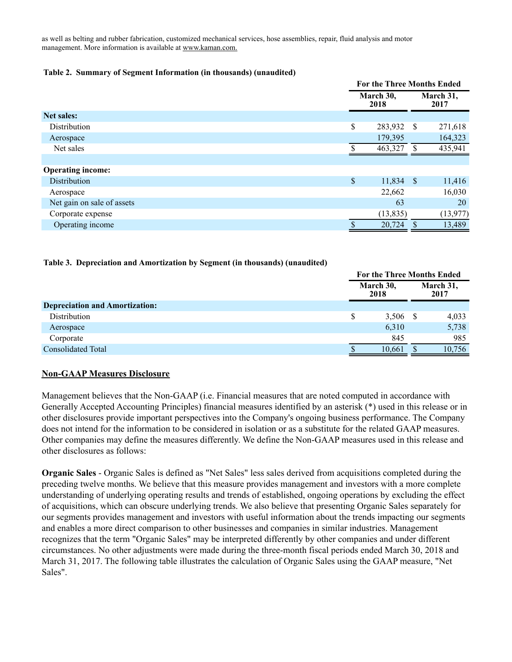as well as belting and rubber fabrication, customized mechanical services, hose assemblies, repair, fluid analysis and motor management. More information is available at www.kaman.com.

#### **Table 2. Summary of Segment Information (in thousands) (unaudited)**

|                            |                           | <b>For the Three Months Ended</b> |               |                   |  |
|----------------------------|---------------------------|-----------------------------------|---------------|-------------------|--|
|                            |                           | March 30,<br>2018                 |               | March 31,<br>2017 |  |
| <b>Net sales:</b>          |                           |                                   |               |                   |  |
| Distribution               | \$                        | 283,932                           | \$            | 271,618           |  |
| Aerospace                  |                           | 179,395                           |               | 164,323           |  |
| Net sales                  |                           | 463,327                           | <sup>\$</sup> | 435,941           |  |
|                            |                           |                                   |               |                   |  |
| <b>Operating income:</b>   |                           |                                   |               |                   |  |
| Distribution               | $\boldsymbol{\mathsf{S}}$ | $11,834$ \$                       |               | 11,416            |  |
| Aerospace                  |                           | 22,662                            |               | 16,030            |  |
| Net gain on sale of assets |                           | 63                                |               | 20                |  |
| Corporate expense          |                           | (13, 835)                         |               | (13, 977)         |  |
| Operating income           |                           | 20,724                            |               | 13,489            |  |

#### **Table 3. Depreciation and Amortization by Segment (in thousands) (unaudited)**

|                                       |                   | <b>For the Three Months Ended</b> |  |                   |  |
|---------------------------------------|-------------------|-----------------------------------|--|-------------------|--|
|                                       | March 30,<br>2018 |                                   |  | March 31,<br>2017 |  |
| <b>Depreciation and Amortization:</b> |                   |                                   |  |                   |  |
| Distribution                          | \$                | 3,506 \$                          |  | 4,033             |  |
| Aerospace                             |                   | 6,310                             |  | 5,738             |  |
| Corporate                             |                   | 845                               |  | 985               |  |
| <b>Consolidated Total</b>             |                   | 10,661                            |  | 10,756            |  |

#### **Non-GAAP Measures Disclosure**

Management believes that the Non-GAAP (i.e. Financial measures that are noted computed in accordance with Generally Accepted Accounting Principles) financial measures identified by an asterisk (\*) used in this release or in other disclosures provide important perspectives into the Company's ongoing business performance. The Company does not intend for the information to be considered in isolation or as a substitute for the related GAAP measures. Other companies may define the measures differently. We define the Non-GAAP measures used in this release and other disclosures as follows:

**Organic Sales** - Organic Sales is defined as "Net Sales" less sales derived from acquisitions completed during the preceding twelve months. We believe that this measure provides management and investors with a more complete understanding of underlying operating results and trends of established, ongoing operations by excluding the effect of acquisitions, which can obscure underlying trends. We also believe that presenting Organic Sales separately for our segments provides management and investors with useful information about the trends impacting our segments and enables a more direct comparison to other businesses and companies in similar industries. Management recognizes that the term "Organic Sales" may be interpreted differently by other companies and under different circumstances. No other adjustments were made during the three-month fiscal periods ended March 30, 2018 and March 31, 2017. The following table illustrates the calculation of Organic Sales using the GAAP measure, "Net Sales".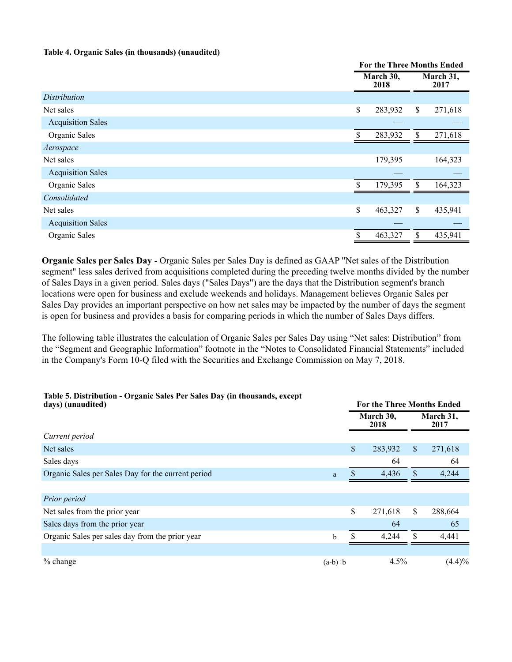#### **Table 4. Organic Sales (in thousands) (unaudited)**

|                          | <b>For the Three Months Ended</b> |              |                   |  |
|--------------------------|-----------------------------------|--------------|-------------------|--|
|                          | March 30,<br>2018                 |              | March 31,<br>2017 |  |
| <b>Distribution</b>      |                                   |              |                   |  |
| Net sales                | \$<br>283,932                     | $\mathbb{S}$ | 271,618           |  |
| <b>Acquisition Sales</b> |                                   |              |                   |  |
| Organic Sales            | \$<br>283,932                     | \$           | 271,618           |  |
| Aerospace                |                                   |              |                   |  |
| Net sales                | 179,395                           |              | 164,323           |  |
| <b>Acquisition Sales</b> |                                   |              |                   |  |
| Organic Sales            | \$<br>179,395                     | \$           | 164,323           |  |
| Consolidated             |                                   |              |                   |  |
| Net sales                | \$<br>463,327                     | \$           | 435,941           |  |
| <b>Acquisition Sales</b> |                                   |              |                   |  |
| Organic Sales            | \$<br>463,327                     | \$           | 435,941           |  |

**Organic Sales per Sales Day** - Organic Sales per Sales Day is defined as GAAP "Net sales of the Distribution segment" less sales derived from acquisitions completed during the preceding twelve months divided by the number of Sales Days in a given period. Sales days ("Sales Days") are the days that the Distribution segment's branch locations were open for business and exclude weekends and holidays. Management believes Organic Sales per Sales Day provides an important perspective on how net sales may be impacted by the number of days the segment is open for business and provides a basis for comparing periods in which the number of Sales Days differs.

The following table illustrates the calculation of Organic Sales per Sales Day using "Net sales: Distribution" from the "Segment and Geographic Information" footnote in the "Notes to Consolidated Financial Statements" included in the Company's Form 10-Q filed with the Securities and Exchange Commission on May 7, 2018.

# **Table 5. Distribution - Organic Sales Per Sales Day (in thousands, except**

| days) (unaudited)                                  |             | <b>For the Three Months Ended</b> |                   |     |                   |
|----------------------------------------------------|-------------|-----------------------------------|-------------------|-----|-------------------|
|                                                    |             |                                   | March 30,<br>2018 |     | March 31,<br>2017 |
| Current period                                     |             |                                   |                   |     |                   |
| Net sales                                          |             | $\boldsymbol{\$}$                 | 283,932           | S.  | 271,618           |
| Sales days                                         |             |                                   | 64                |     | 64                |
| Organic Sales per Sales Day for the current period | a           |                                   | 4,436             | \$. | 4,244             |
|                                                    |             |                                   |                   |     |                   |
| Prior period                                       |             |                                   |                   |     |                   |
| Net sales from the prior year                      |             | \$                                | 271,618           | S   | 288,664           |
| Sales days from the prior year                     |             |                                   | 64                |     | 65                |
| Organic Sales per sales day from the prior year    | $\mathbf b$ |                                   | 4,244             |     | 4,441             |
|                                                    |             |                                   |                   |     |                   |
| % change                                           | $(a-b)=b$   |                                   | 4.5%              |     | (4.4)%            |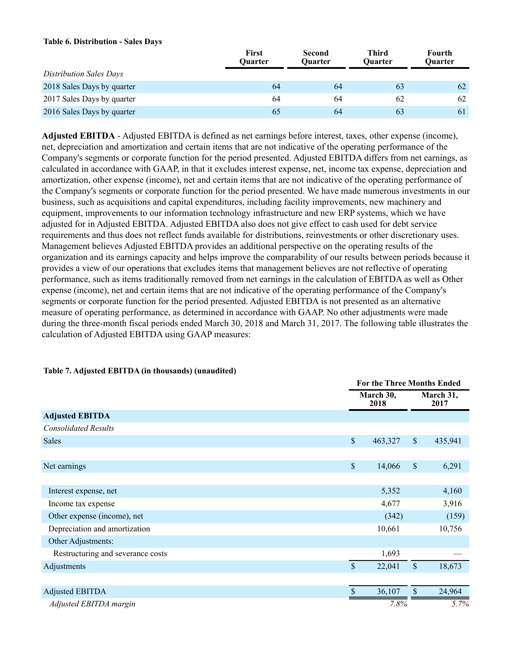#### **Table 6. Distribution - Sales Days**

|                                | <b>First</b><br><b>Ouarter</b> | <b>Second</b><br><b>Ouarter</b> | Third<br>Ouarter | Fourth<br><b>Ouarter</b> |
|--------------------------------|--------------------------------|---------------------------------|------------------|--------------------------|
| <b>Distribution Sales Days</b> |                                |                                 |                  |                          |
| 2018 Sales Days by quarter     | 64                             | 64                              | 63               | 62                       |
| 2017 Sales Days by quarter     | 64                             | 64                              | 62               | 62                       |
| 2016 Sales Days by quarter     | 65                             | 64                              | 63               | 61                       |

**Adjusted EBITDA** - Adjusted EBITDA is defined as net earnings before interest, taxes, other expense (income), net, depreciation and amortization and certain items that are not indicative of the operating performance of the Company's segments or corporate function for the period presented. Adjusted EBITDA differs from net earnings, as calculated in accordance with GAAP, in that it excludes interest expense, net, income tax expense, depreciation and amortization, other expense (income), net and certain items that are not indicative of the operating performance of the Company's segments or corporate function for the period presented. We have made numerous investments in our business, such as acquisitions and capital expenditures, including facility improvements, new machinery and equipment, improvements to our information technology infrastructure and new ERP systems, which we have adjusted for in Adjusted EBITDA. Adjusted EBITDA also does not give effect to cash used for debt service requirements and thus does not reflect funds available for distributions, reinvestments or other discretionary uses. Management believes Adjusted EBITDA provides an additional perspective on the operating results of the organization and its earnings capacity and helps improve the comparability of our results between periods because it provides a view of our operations that excludes items that management believes are not reflective of operating performance, such as items traditionally removed from net earnings in the calculation of EBITDA as well as Other expense (income), net and certain items that are not indicative of the operating performance of the Company's segments or corporate function for the period presented. Adjusted EBITDA is not presented as an alternative measure of operating performance, as determined in accordance with GAAP. No other adjustments were made during the three-month fiscal periods ended March 30, 2018 and March 31, 2017. The following table illustrates the calculation of Adjusted EBITDA using GAAP measures:

|                                   |             | <b>For the Three Months Ended</b> |                      |                   |  |
|-----------------------------------|-------------|-----------------------------------|----------------------|-------------------|--|
|                                   |             | March 30,<br>2018                 |                      | March 31,<br>2017 |  |
| <b>Adjusted EBITDA</b>            |             |                                   |                      |                   |  |
| <b>Consolidated Results</b>       |             |                                   |                      |                   |  |
| <b>Sales</b>                      | $\mathbb S$ | 463,327                           | $\sqrt{\frac{2}{5}}$ | 435,941           |  |
|                                   |             |                                   |                      |                   |  |
| Net earnings                      | $\mathbb S$ | 14,066                            | $\mathcal{S}$        | 6,291             |  |
|                                   |             |                                   |                      |                   |  |
| Interest expense, net             |             | 5,352                             |                      | 4,160             |  |
| Income tax expense                |             | 4,677                             |                      | 3,916             |  |
| Other expense (income), net       |             | (342)                             |                      | (159)             |  |
| Depreciation and amortization     |             | 10,661                            |                      | 10,756            |  |
| Other Adjustments:                |             |                                   |                      |                   |  |
| Restructuring and severance costs |             | 1,693                             |                      |                   |  |
| Adjustments                       | \$          | 22,041                            | $\mathsf{\$}$        | 18,673            |  |
|                                   |             |                                   |                      |                   |  |
| <b>Adjusted EBITDA</b>            | \$          | 36,107                            | \$                   | 24,964            |  |
| Adjusted EBITDA margin            |             | 7.8%                              |                      | 5.7%              |  |

#### **Table 7. Adjusted EBITDA (in thousands) (unaudited)**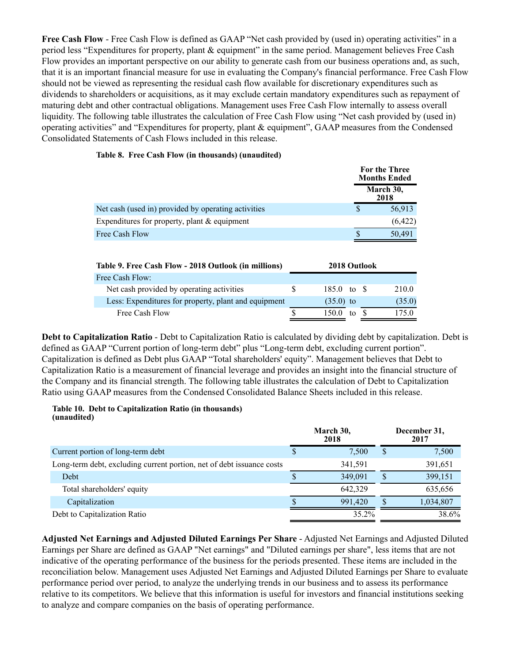**Free Cash Flow** - Free Cash Flow is defined as GAAP "Net cash provided by (used in) operating activities" in a period less "Expenditures for property, plant & equipment" in the same period. Management believes Free Cash Flow provides an important perspective on our ability to generate cash from our business operations and, as such, that it is an important financial measure for use in evaluating the Company's financial performance. Free Cash Flow should not be viewed as representing the residual cash flow available for discretionary expenditures such as dividends to shareholders or acquisitions, as it may exclude certain mandatory expenditures such as repayment of maturing debt and other contractual obligations. Management uses Free Cash Flow internally to assess overall liquidity. The following table illustrates the calculation of Free Cash Flow using "Net cash provided by (used in) operating activities" and "Expenditures for property, plant & equipment", GAAP measures from the Condensed Consolidated Statements of Cash Flows included in this release.

#### **Table 8. Free Cash Flow (in thousands) (unaudited)**

|                                                     | For the Three<br><b>Months Ended</b> |
|-----------------------------------------------------|--------------------------------------|
|                                                     | March 30,<br>2018                    |
| Net cash (used in) provided by operating activities | 56,913                               |
| Expenditures for property, plant $&$ equipment      | (6,422)                              |
| Free Cash Flow                                      | 50,491                               |
|                                                     |                                      |

| Table 9. Free Cash Flow - 2018 Outlook (in millions) |   | 2018 Outlook          |     |        |
|------------------------------------------------------|---|-----------------------|-----|--------|
| Free Cash Flow:                                      |   |                       |     |        |
| Net cash provided by operating activities            | S | $185.0 \text{ to }$ S |     | 210.0  |
| Less: Expenditures for property, plant and equipment |   | $(35.0)$ to           |     | (35.0) |
| Free Cash Flow                                       |   | 1500                  | to. | 75.0   |

**Debt to Capitalization Ratio** - Debt to Capitalization Ratio is calculated by dividing debt by capitalization. Debt is defined as GAAP "Current portion of long-term debt" plus "Long-term debt, excluding current portion". Capitalization is defined as Debt plus GAAP "Total shareholders' equity". Management believes that Debt to Capitalization Ratio is a measurement of financial leverage and provides an insight into the financial structure of the Company and its financial strength. The following table illustrates the calculation of Debt to Capitalization Ratio using GAAP measures from the Condensed Consolidated Balance Sheets included in this release.

#### **Table 10. Debt to Capitalization Ratio (in thousands) (unaudited)**

|                                                                       |   | March 30,<br>2018 |   | December 31,<br>2017 |
|-----------------------------------------------------------------------|---|-------------------|---|----------------------|
| Current portion of long-term debt                                     | Y | 7,500             | S | 7,500                |
| Long-term debt, excluding current portion, net of debt issuance costs |   | 341.591           |   | 391,651              |
| Debt                                                                  |   | 349.091           | S | 399,151              |
| Total shareholders' equity                                            |   | 642.329           |   | 635,656              |
| Capitalization                                                        |   | 991.420           | S | 1,034,807            |
| Debt to Capitalization Ratio                                          |   | 35.2%             |   | 38.6%                |

**Adjusted Net Earnings and Adjusted Diluted Earnings Per Share** - Adjusted Net Earnings and Adjusted Diluted Earnings per Share are defined as GAAP "Net earnings" and "Diluted earnings per share", less items that are not indicative of the operating performance of the business for the periods presented. These items are included in the reconciliation below. Management uses Adjusted Net Earnings and Adjusted Diluted Earnings per Share to evaluate performance period over period, to analyze the underlying trends in our business and to assess its performance relative to its competitors. We believe that this information is useful for investors and financial institutions seeking to analyze and compare companies on the basis of operating performance.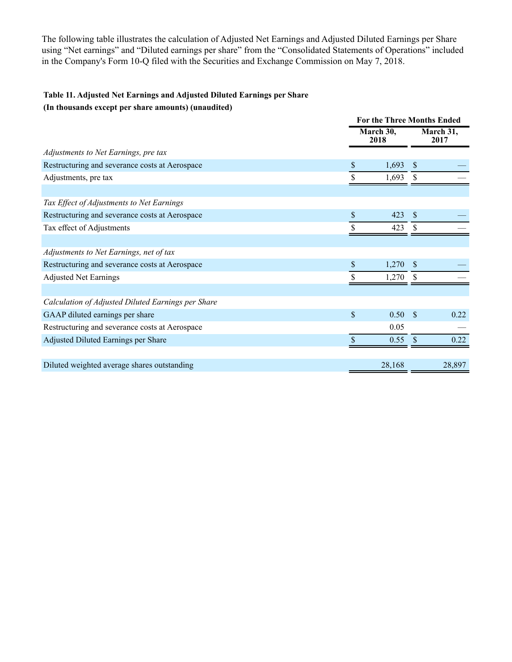The following table illustrates the calculation of Adjusted Net Earnings and Adjusted Diluted Earnings per Share using "Net earnings" and "Diluted earnings per share" from the "Consolidated Statements of Operations" included in the Company's Form 10-Q filed with the Securities and Exchange Commission on May 7, 2018.

# **Table 11. Adjusted Net Earnings and Adjusted Diluted Earnings per Share**

**(In thousands except per share amounts) (unaudited)**

|                                                    | <b>For the Three Months Ended</b> |                     |               |                   |
|----------------------------------------------------|-----------------------------------|---------------------|---------------|-------------------|
|                                                    |                                   | March $30,$<br>2018 |               | March 31,<br>2017 |
| Adjustments to Net Earnings, pre tax               |                                   |                     |               |                   |
| Restructuring and severance costs at Aerospace     | \$                                | 1,693               | <sup>\$</sup> |                   |
| Adjustments, pre tax                               | \$                                | 1,693               | \$.           |                   |
|                                                    |                                   |                     |               |                   |
| Tax Effect of Adjustments to Net Earnings          |                                   |                     |               |                   |
| Restructuring and severance costs at Aerospace     | \$                                | 423                 | $\mathbf{\$}$ |                   |
| Tax effect of Adjustments                          | \$                                | 423                 | \$.           |                   |
|                                                    |                                   |                     |               |                   |
| Adjustments to Net Earnings, net of tax            |                                   |                     |               |                   |
| Restructuring and severance costs at Aerospace     | \$                                | 1,270               | <sup>S</sup>  |                   |
| <b>Adjusted Net Earnings</b>                       | \$                                | 1,270               |               |                   |
|                                                    |                                   |                     |               |                   |
| Calculation of Adjusted Diluted Earnings per Share |                                   |                     |               |                   |
| GAAP diluted earnings per share                    | $\mathsf{\$}$                     | 0.50                | <sup>\$</sup> | 0.22              |
| Restructuring and severance costs at Aerospace     |                                   | 0.05                |               |                   |
| Adjusted Diluted Earnings per Share                |                                   | 0.55                |               | 0.22              |
|                                                    |                                   |                     |               |                   |
| Diluted weighted average shares outstanding        |                                   | 28,168              |               | 28,897            |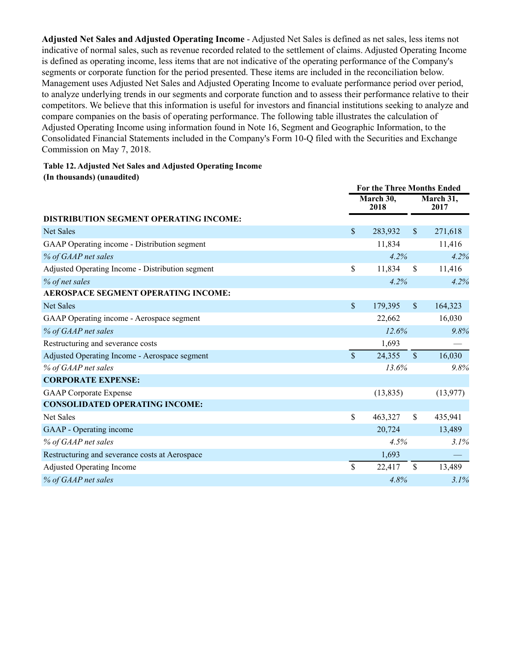**Adjusted Net Sales and Adjusted Operating Income** - Adjusted Net Sales is defined as net sales, less items not indicative of normal sales, such as revenue recorded related to the settlement of claims. Adjusted Operating Income is defined as operating income, less items that are not indicative of the operating performance of the Company's segments or corporate function for the period presented. These items are included in the reconciliation below. Management uses Adjusted Net Sales and Adjusted Operating Income to evaluate performance period over period, to analyze underlying trends in our segments and corporate function and to assess their performance relative to their competitors. We believe that this information is useful for investors and financial institutions seeking to analyze and compare companies on the basis of operating performance. The following table illustrates the calculation of Adjusted Operating Income using information found in Note 16, Segment and Geographic Information, to the Consolidated Financial Statements included in the Company's Form 10-Q filed with the Securities and Exchange Commission on May 7, 2018.

## **Table 12. Adjusted Net Sales and Adjusted Operating Income**

**(In thousands) (unaudited)**

|                                                  | <b>For the Three Months Ended</b> |                   |                      |                   |
|--------------------------------------------------|-----------------------------------|-------------------|----------------------|-------------------|
|                                                  |                                   | March 30,<br>2018 |                      | March 31,<br>2017 |
| <b>DISTRIBUTION SEGMENT OPERATING INCOME:</b>    |                                   |                   |                      |                   |
| <b>Net Sales</b>                                 | $\mathcal{S}$                     | 283,932           | $\mathbb{S}$         | 271,618           |
| GAAP Operating income - Distribution segment     |                                   | 11,834            |                      | 11,416            |
| % of GAAP net sales                              |                                   | 4.2%              |                      | 4.2%              |
| Adjusted Operating Income - Distribution segment | \$                                | 11,834            | <sup>\$</sup>        | 11,416            |
| % of net sales                                   |                                   | 4.2%              |                      | 4.2%              |
| AEROSPACE SEGMENT OPERATING INCOME:              |                                   |                   |                      |                   |
| <b>Net Sales</b>                                 | $\boldsymbol{\mathsf{S}}$         | 179,395           | $\sqrt{\frac{2}{5}}$ | 164,323           |
| GAAP Operating income - Aerospace segment        |                                   | 22,662            |                      | 16,030            |
| % of GAAP net sales                              |                                   | 12.6%             |                      | 9.8%              |
| Restructuring and severance costs                |                                   | 1,693             |                      |                   |
| Adjusted Operating Income - Aerospace segment    | $\mathbf{\hat{S}}$                | 24,355            | $\mathbb{S}$         | 16,030            |
| % of GAAP net sales                              |                                   | 13.6%             |                      | 9.8%              |
| <b>CORPORATE EXPENSE:</b>                        |                                   |                   |                      |                   |
| <b>GAAP</b> Corporate Expense                    |                                   | (13, 835)         |                      | (13, 977)         |
| <b>CONSOLIDATED OPERATING INCOME:</b>            |                                   |                   |                      |                   |
| <b>Net Sales</b>                                 | \$                                | 463,327           | $\mathbf S$          | 435,941           |
| GAAP - Operating income                          |                                   | 20,724            |                      | 13,489            |
| % of GAAP net sales                              |                                   | 4.5%              |                      | 3.1%              |
| Restructuring and severance costs at Aerospace   |                                   | 1,693             |                      |                   |
| <b>Adjusted Operating Income</b>                 | $\mathbb{S}$                      | 22,417            | \$                   | 13,489            |
| % of GAAP net sales                              |                                   | 4.8%              |                      | 3.1%              |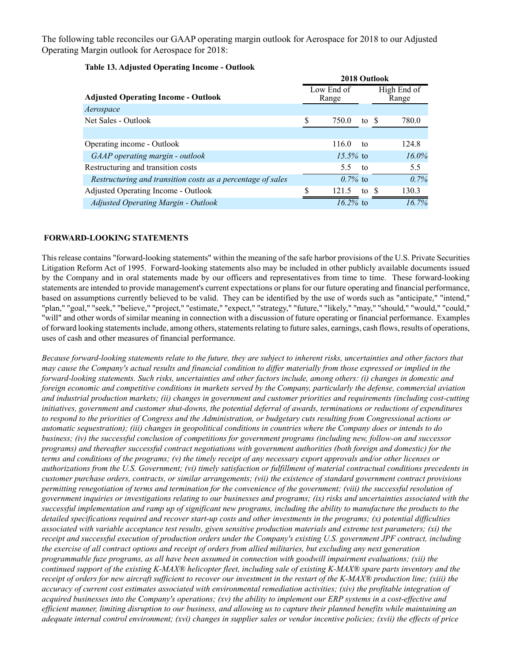The following table reconciles our GAAP operating margin outlook for Aerospace for 2018 to our Adjusted Operating Margin outlook for Aerospace for 2018:

|                                                             | 2018 Outlook        |                    |       |                      |          |
|-------------------------------------------------------------|---------------------|--------------------|-------|----------------------|----------|
| <b>Adjusted Operating Income - Outlook</b>                  | Low End of<br>Range |                    |       | High End of<br>Range |          |
| Aerospace                                                   |                     |                    |       |                      |          |
| Net Sales - Outlook                                         | S                   | 750.0              | to \$ |                      | 780.0    |
|                                                             |                     |                    |       |                      |          |
| Operating income - Outlook                                  |                     | 116.0              | to    |                      | 124.8    |
| GAAP operating margin - outlook                             |                     | $15.5\%$ to        |       |                      | $16.0\%$ |
| Restructuring and transition costs                          |                     | 5.5                | to    |                      | 5.5      |
| Restructuring and transition costs as a percentage of sales |                     | $0.7\%$ to         |       |                      | 0.7%     |
| Adjusted Operating Income - Outlook                         | S                   | 121.5              | to \$ |                      | 130.3    |
| <b>Adjusted Operating Margin - Outlook</b>                  |                     | $\sqrt{16.2\%}$ to |       |                      | $16.7\%$ |

### **Table 13. Adjusted Operating Income - Outlook**

#### **FORWARD-LOOKING STATEMENTS**

This release contains "forward-looking statements" within the meaning of the safe harbor provisions of the U.S. Private Securities Litigation Reform Act of 1995. Forward-looking statements also may be included in other publicly available documents issued by the Company and in oral statements made by our officers and representatives from time to time. These forward-looking statements are intended to provide management's current expectations or plans for our future operating and financial performance, based on assumptions currently believed to be valid. They can be identified by the use of words such as "anticipate," "intend," "plan," "goal," "seek," "believe," "project," "estimate," "expect," "strategy," "future," "likely," "may," "should," "would," "could," "will" and other words of similar meaning in connection with a discussion of future operating or financial performance. Examples of forward looking statements include, among others, statements relating to future sales, earnings, cash flows, results of operations, uses of cash and other measures of financial performance.

*Because forward-looking statements relate to the future, they are subject to inherent risks, uncertainties and other factors that may cause the Company's actual results and financial condition to differ materially from those expressed or implied in the forward-looking statements. Such risks, uncertainties and other factors include, among others: (i) changes in domestic and foreign economic and competitive conditions in markets served by the Company, particularly the defense, commercial aviation and industrial production markets; (ii) changes in government and customer priorities and requirements (including cost-cutting initiatives, government and customer shut-downs, the potential deferral of awards, terminations or reductions of expenditures to respond to the priorities of Congress and the Administration, or budgetary cuts resulting from Congressional actions or automatic sequestration); (iii) changes in geopolitical conditions in countries where the Company does or intends to do business; (iv) the successful conclusion of competitions for government programs (including new, follow-on and successor programs) and thereafter successful contract negotiations with government authorities (both foreign and domestic) for the terms and conditions of the programs; (v) the timely receipt of any necessary export approvals and/or other licenses or authorizations from the U.S. Government; (vi) timely satisfaction or fulfillment of material contractual conditions precedents in customer purchase orders, contracts, or similar arrangements; (vii) the existence of standard government contract provisions permitting renegotiation of terms and termination for the convenience of the government; (viii) the successful resolution of government inquiries or investigations relating to our businesses and programs; (ix) risks and uncertainties associated with the successful implementation and ramp up of significant new programs, including the ability to manufacture the products to the detailed specifications required and recover start-up costs and other investments in the programs; (x) potential difficulties associated with variable acceptance test results, given sensitive production materials and extreme test parameters; (xi) the receipt and successful execution of production orders under the Company's existing U.S. government JPF contract, including the exercise of all contract options and receipt of orders from allied militaries, but excluding any next generation programmable fuze programs, as all have been assumed in connection with goodwill impairment evaluations; (xii) the continued support of the existing K-MAX® helicopter fleet, including sale of existing K-MAX® spare parts inventory and the receipt of orders for new aircraft sufficient to recover our investment in the restart of the K-MAX® production line; (xiii) the accuracy of current cost estimates associated with environmental remediation activities; (xiv) the profitable integration of acquired businesses into the Company's operations; (xv) the ability to implement our ERP systems in a cost-effective and efficient manner, limiting disruption to our business, and allowing us to capture their planned benefits while maintaining an adequate internal control environment; (xvi) changes in supplier sales or vendor incentive policies; (xvii) the effects of price*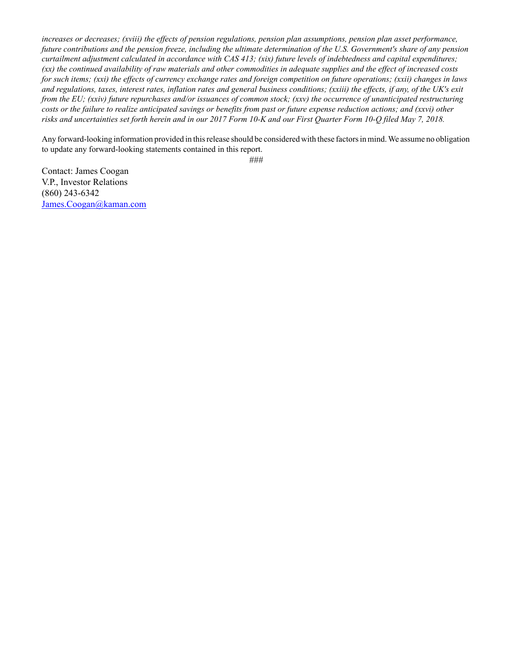*increases or decreases; (xviii) the effects of pension regulations, pension plan assumptions, pension plan asset performance, future contributions and the pension freeze, including the ultimate determination of the U.S. Government's share of any pension curtailment adjustment calculated in accordance with CAS 413; (xix) future levels of indebtedness and capital expenditures; (xx) the continued availability of raw materials and other commodities in adequate supplies and the effect of increased costs for such items; (xxi) the effects of currency exchange rates and foreign competition on future operations; (xxii) changes in laws and regulations, taxes, interest rates, inflation rates and general business conditions; (xxiii) the effects, if any, of the UK's exit from the EU; (xxiv) future repurchases and/or issuances of common stock; (xxv) the occurrence of unanticipated restructuring costs or the failure to realize anticipated savings or benefits from past or future expense reduction actions; and (xxvi) other risks and uncertainties set forth herein and in our 2017 Form 10-K and our First Quarter Form 10-Q filed May 7, 2018.*

Any forward-looking information provided in this release should be considered with these factors in mind. We assume no obligation to update any forward-looking statements contained in this report.

*###*

Contact: James Coogan V.P., Investor Relations (860) 243-6342 James.Coogan@kaman.com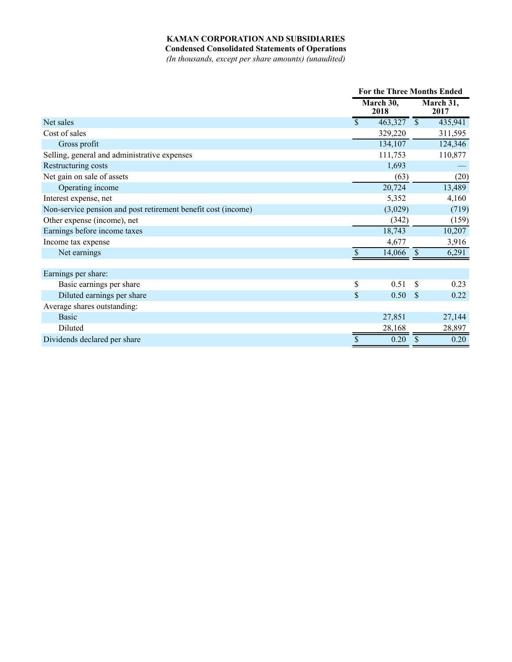## **KAMAN CORPORATION AND SUBSIDIARIES**

**Condensed Consolidated Statements of Operations**

*(In thousands, except per share amounts) (unaudited)*

|                                                               | For the Three Months Ended |               |                   |  |
|---------------------------------------------------------------|----------------------------|---------------|-------------------|--|
|                                                               | March 30,<br>2018          |               | March 31,<br>2017 |  |
| Net sales                                                     | \$<br>463,327              | $\mathbb{S}$  | 435,941           |  |
| Cost of sales                                                 | 329,220                    |               | 311,595           |  |
| Gross profit                                                  | 134,107                    |               | 124,346           |  |
| Selling, general and administrative expenses                  | 111,753                    |               | 110,877           |  |
| Restructuring costs                                           | 1,693                      |               |                   |  |
| Net gain on sale of assets                                    | (63)                       |               | (20)              |  |
| Operating income                                              | 20,724                     |               | 13,489            |  |
| Interest expense, net                                         | 5,352                      |               | 4,160             |  |
| Non-service pension and post retirement benefit cost (income) | (3,029)                    |               | (719)             |  |
| Other expense (income), net                                   | (342)                      |               | (159)             |  |
| Earnings before income taxes                                  | 18,743                     |               | 10,207            |  |
| Income tax expense                                            | 4,677                      |               | 3,916             |  |
| Net earnings                                                  | 14,066                     | $\mathbf{\$}$ | 6,291             |  |
|                                                               |                            |               |                   |  |
| Earnings per share:                                           |                            |               |                   |  |
| Basic earnings per share                                      | \$<br>0.51                 | <sup>\$</sup> | 0.23              |  |
| Diluted earnings per share                                    | \$<br>0.50                 | <sup>S</sup>  | 0.22              |  |
| Average shares outstanding:                                   |                            |               |                   |  |
| <b>Basic</b>                                                  | 27,851                     |               | 27,144            |  |
| Diluted                                                       | 28,168                     |               | 28,897            |  |
| Dividends declared per share                                  | \$<br>0.20                 | $\mathcal{S}$ | 0.20              |  |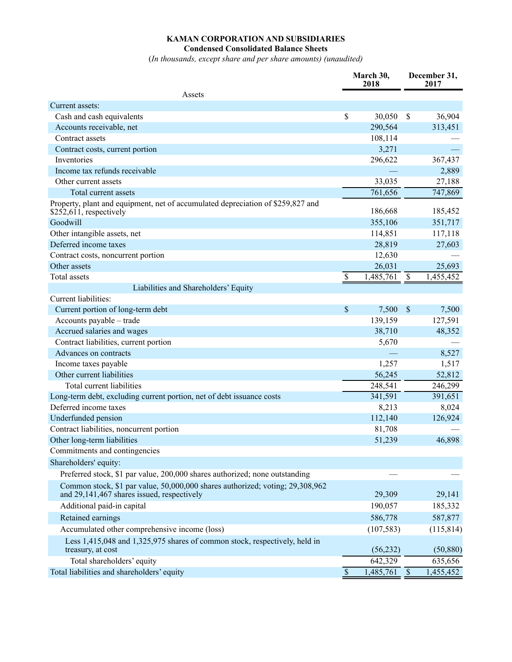### **KAMAN CORPORATION AND SUBSIDIARIES Condensed Consolidated Balance Sheets**

(*In thousands, except share and per share amounts) (unaudited)*

|                                                                                                                             | March 30,<br>2018         |            | December 31,<br>2017 |            |
|-----------------------------------------------------------------------------------------------------------------------------|---------------------------|------------|----------------------|------------|
| Assets                                                                                                                      |                           |            |                      |            |
| Current assets:                                                                                                             |                           |            |                      |            |
| Cash and cash equivalents                                                                                                   | $\boldsymbol{\mathsf{S}}$ | 30,050     | $\mathcal{S}$        | 36,904     |
| Accounts receivable, net                                                                                                    |                           | 290,564    |                      | 313,451    |
| Contract assets                                                                                                             |                           | 108,114    |                      |            |
| Contract costs, current portion                                                                                             |                           | 3,271      |                      |            |
| Inventories                                                                                                                 |                           | 296,622    |                      | 367,437    |
| Income tax refunds receivable                                                                                               |                           |            |                      | 2,889      |
| Other current assets                                                                                                        |                           | 33,035     |                      | 27,188     |
| Total current assets                                                                                                        |                           | 761,656    |                      | 747,869    |
| Property, plant and equipment, net of accumulated depreciation of \$259,827 and<br>$$252,611$ , respectively                |                           | 186,668    |                      | 185,452    |
| Goodwill                                                                                                                    |                           | 355,106    |                      | 351,717    |
| Other intangible assets, net                                                                                                |                           | 114,851    |                      | 117,118    |
| Deferred income taxes                                                                                                       |                           | 28,819     |                      | 27,603     |
| Contract costs, noncurrent portion                                                                                          |                           | 12,630     |                      |            |
| Other assets                                                                                                                |                           | 26,031     |                      | 25,693     |
| <b>Total</b> assets                                                                                                         | \$                        | 1,485,761  | $\$$                 | 1,455,452  |
| Liabilities and Shareholders' Equity                                                                                        |                           |            |                      |            |
| <b>Current liabilities:</b>                                                                                                 |                           |            |                      |            |
| Current portion of long-term debt                                                                                           | \$                        | 7,500      | $\mathsf{\$}$        | 7,500      |
| Accounts payable - trade                                                                                                    |                           | 139,159    |                      | 127,591    |
| Accrued salaries and wages                                                                                                  |                           | 38,710     |                      | 48,352     |
| Contract liabilities, current portion                                                                                       |                           | 5,670      |                      |            |
| Advances on contracts                                                                                                       |                           |            |                      | 8,527      |
| Income taxes payable                                                                                                        |                           | 1,257      |                      | 1,517      |
| Other current liabilities                                                                                                   |                           | 56,245     |                      | 52,812     |
| Total current liabilities                                                                                                   |                           | 248,541    |                      | 246,299    |
| Long-term debt, excluding current portion, net of debt issuance costs                                                       |                           | 341,591    |                      | 391,651    |
| Deferred income taxes                                                                                                       |                           | 8,213      |                      | 8,024      |
| Underfunded pension                                                                                                         |                           | 112,140    |                      | 126,924    |
| Contract liabilities, noncurrent portion                                                                                    |                           | 81,708     |                      |            |
| Other long-term liabilities                                                                                                 |                           | 51,239     |                      | 46,898     |
| Commitments and contingencies                                                                                               |                           |            |                      |            |
| Shareholders' equity:                                                                                                       |                           |            |                      |            |
| Preferred stock, \$1 par value, 200,000 shares authorized; none outstanding                                                 |                           |            |                      |            |
| Common stock, \$1 par value, 50,000,000 shares authorized; voting; 29,308,962<br>and 29,141,467 shares issued, respectively |                           | 29,309     |                      | 29,141     |
| Additional paid-in capital                                                                                                  |                           | 190,057    |                      | 185,332    |
| Retained earnings                                                                                                           |                           | 586,778    |                      | 587,877    |
| Accumulated other comprehensive income (loss)                                                                               |                           | (107, 583) |                      | (115, 814) |
| Less 1,415,048 and 1,325,975 shares of common stock, respectively, held in<br>treasury, at cost                             |                           | (56, 232)  |                      | (50, 880)  |
| Total shareholders' equity                                                                                                  |                           | 642,329    |                      | 635,656    |
| Total liabilities and shareholders' equity                                                                                  | $\mathcal{S}$             | 1,485,761  | $\mathcal{S}$        | 1,455,452  |